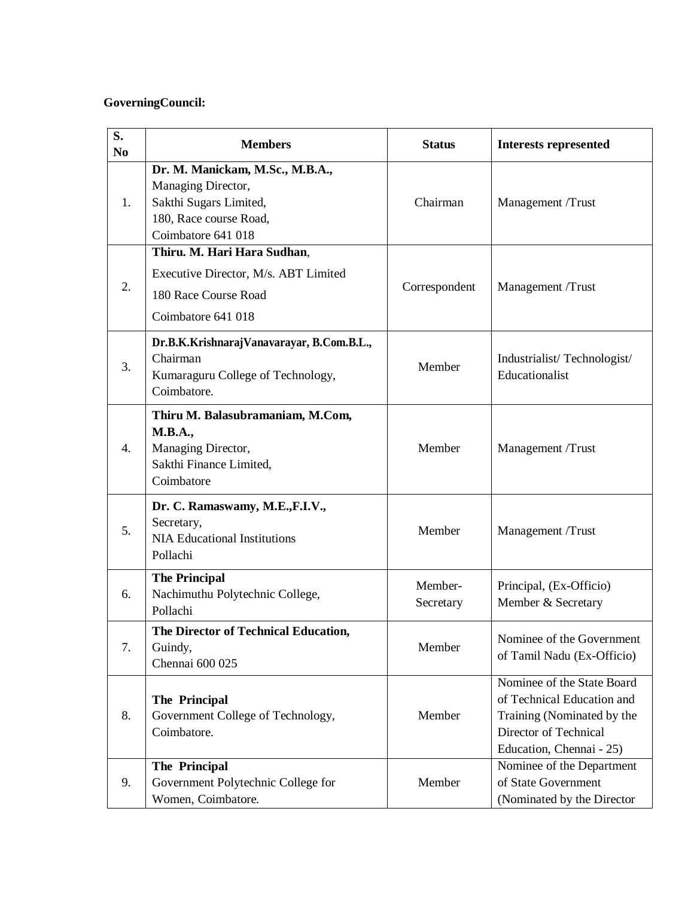## **GoverningCouncil:**

| S.<br>N <sub>0</sub> | <b>Members</b>                                                                                                                  | <b>Status</b>        | <b>Interests represented</b>                                                                                                                |
|----------------------|---------------------------------------------------------------------------------------------------------------------------------|----------------------|---------------------------------------------------------------------------------------------------------------------------------------------|
| 1.                   | Dr. M. Manickam, M.Sc., M.B.A.,<br>Managing Director,<br>Sakthi Sugars Limited,<br>180, Race course Road,<br>Coimbatore 641 018 | Chairman             | Management /Trust                                                                                                                           |
| 2.                   | Thiru. M. Hari Hara Sudhan,<br>Executive Director, M/s. ABT Limited<br>180 Race Course Road<br>Coimbatore 641 018               | Correspondent        | Management /Trust                                                                                                                           |
| 3.                   | Dr.B.K.KrishnarajVanavarayar, B.Com.B.L.,<br>Chairman<br>Kumaraguru College of Technology,<br>Coimbatore.                       | Member               | Industrialist/Technologist/<br>Educationalist                                                                                               |
| 4.                   | Thiru M. Balasubramaniam, M.Com,<br><b>M.B.A.,</b><br>Managing Director,<br>Sakthi Finance Limited,<br>Coimbatore               | Member               | Management /Trust                                                                                                                           |
| 5.                   | Dr. C. Ramaswamy, M.E.,F.I.V.,<br>Secretary,<br><b>NIA Educational Institutions</b><br>Pollachi                                 | Member               | Management /Trust                                                                                                                           |
| 6.                   | <b>The Principal</b><br>Nachimuthu Polytechnic College,<br>Pollachi                                                             | Member-<br>Secretary | Principal, (Ex-Officio)<br>Member & Secretary                                                                                               |
| 7.                   | The Director of Technical Education,<br>Guindy,<br>Chennai 600 025                                                              | Member               | Nominee of the Government<br>of Tamil Nadu (Ex-Officio)                                                                                     |
| 8.                   | The Principal<br>Government College of Technology,<br>Coimbatore.                                                               | Member               | Nominee of the State Board<br>of Technical Education and<br>Training (Nominated by the<br>Director of Technical<br>Education, Chennai - 25) |
| 9.                   | The Principal<br>Government Polytechnic College for<br>Women, Coimbatore.                                                       | Member               | Nominee of the Department<br>of State Government<br>(Nominated by the Director                                                              |